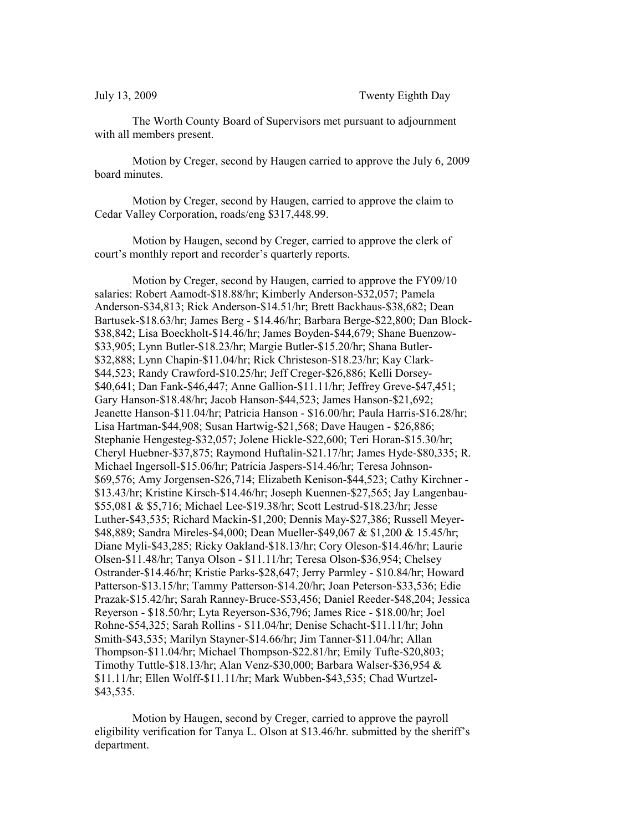The Worth County Board of Supervisors met pursuant to adjournment with all members present.

Motion by Creger, second by Haugen carried to approve the July 6, 2009 board minutes.

Motion by Creger, second by Haugen, carried to approve the claim to Cedar Valley Corporation, roads/eng \$317,448.99.

Motion by Haugen, second by Creger, carried to approve the clerk of court's monthly report and recorder's quarterly reports.

Motion by Creger, second by Haugen, carried to approve the FY09/10 salaries: Robert Aamodt-\$18.88/hr; Kimberly Anderson-\$32,057; Pamela Anderson-\$34,813; Rick Anderson-\$14.51/hr; Brett Backhaus-\$38,682; Dean Bartusek-\$18.63/hr; James Berg - \$14.46/hr; Barbara Berge-\$22,800; Dan Block- \$38,842; Lisa Boeckholt-\$14.46/hr; James Boyden-\$44,679; Shane Buenzow- \$33,905; Lynn Butler-\$18.23/hr; Margie Butler-\$15.20/hr; Shana Butler- \$32,888; Lynn Chapin-\$11.04/hr; Rick Christeson-\$18.23/hr; Kay Clark- \$44,523; Randy Crawford-\$10.25/hr; Jeff Creger-\$26,886; Kelli Dorsey- \$40,641; Dan Fank-\$46,447; Anne Gallion-\$11.11/hr; Jeffrey Greve-\$47,451; Gary Hanson-\$18.48/hr; Jacob Hanson-\$44,523; James Hanson-\$21,692; Jeanette Hanson-\$11.04/hr; Patricia Hanson - \$16.00/hr; Paula Harris-\$16.28/hr; Lisa Hartman-\$44,908; Susan Hartwig-\$21,568; Dave Haugen - \$26,886; Stephanie Hengesteg-\$32,057; Jolene Hickle-\$22,600; Teri Horan-\$15.30/hr; Cheryl Huebner-\$37,875; Raymond Huftalin-\$21.17/hr; James Hyde-\$80,335; R. Michael Ingersoll-\$15.06/hr; Patricia Jaspers-\$14.46/hr; Teresa Johnson- \$69,576; Amy Jorgensen-\$26,714; Elizabeth Kenison-\$44,523; Cathy Kirchner - \$13.43/hr; Kristine Kirsch-\$14.46/hr; Joseph Kuennen-\$27,565; Jay Langenbau- \$55,081 & \$5,716; Michael Lee-\$19.38/hr; Scott Lestrud-\$18.23/hr; Jesse Luther-\$43,535; Richard Mackin-\$1,200; Dennis May-\$27,386; Russell Meyer- \$48,889; Sandra Mireles-\$4,000; Dean Mueller-\$49,067 & \$1,200 & 15.45/hr; Diane Myli-\$43,285; Ricky Oakland-\$18.13/hr; Cory Oleson-\$14.46/hr; Laurie Olsen-\$11.48/hr; Tanya Olson - \$11.11/hr; Teresa Olson-\$36,954; Chelsey Ostrander-\$14.46/hr; Kristie Parks-\$28,647; Jerry Parmley - \$10.84/hr; Howard Patterson-\$13.15/hr; Tammy Patterson-\$14.20/hr; Joan Peterson-\$33,536; Edie Prazak-\$15.42/hr; Sarah Ranney-Bruce-\$53,456; Daniel Reeder-\$48,204; Jessica Reyerson - \$18.50/hr; Lyta Reyerson-\$36,796; James Rice - \$18.00/hr; Joel Rohne-\$54,325; Sarah Rollins - \$11.04/hr; Denise Schacht-\$11.11/hr; John Smith-\$43,535; Marilyn Stayner-\$14.66/hr; Jim Tanner-\$11.04/hr; Allan Thompson-\$11.04/hr; Michael Thompson-\$22.81/hr; Emily Tufte-\$20,803; Timothy Tuttle-\$18.13/hr; Alan Venz-\$30,000; Barbara Walser-\$36,954 & \$11.11/hr; Ellen Wolff-\$11.11/hr; Mark Wubben-\$43,535; Chad Wurtzel- \$43,535.

Motion by Haugen, second by Creger, carried to approve the payroll eligibility verification for Tanya L. Olson at \$13.46/hr. submitted by the sheriff's department.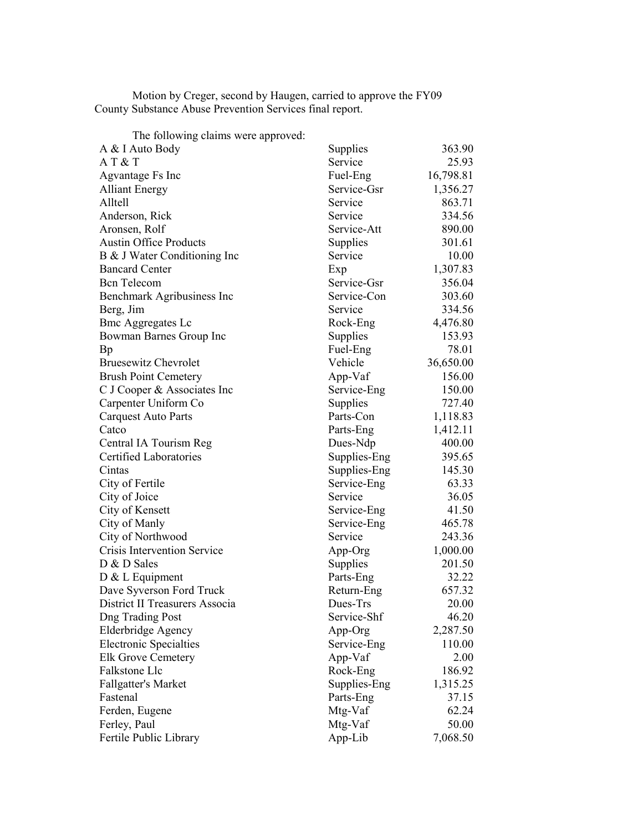Motion by Creger, second by Haugen, carried to approve the FY09 County Substance Abuse Prevention Services final report.

| 363.90<br>A & I Auto Body<br>Supplies<br>AT & T<br>Service<br>25.93<br>Fuel-Eng<br>16,798.81<br>Agvantage Fs Inc<br>Service-Gsr<br>1,356.27<br><b>Alliant Energy</b><br>Alltell<br>863.71<br>Service<br>334.56<br>Anderson, Rick<br>Service<br>Service-Att<br>890.00<br>Aronsen, Rolf<br><b>Austin Office Products</b><br>Supplies<br>301.61<br>Service<br>10.00<br>B & J Water Conditioning Inc<br><b>Bancard Center</b><br>1,307.83<br>Exp<br>356.04<br><b>Bcn</b> Telecom<br>Service-Gsr<br>Service-Con<br>303.60<br>Benchmark Agribusiness Inc<br>334.56<br>Berg, Jim<br>Service<br>4,476.80<br><b>Bmc Aggregates Lc</b><br>Rock-Eng<br>Supplies<br>153.93<br>Bowman Barnes Group Inc<br>Fuel-Eng<br>78.01<br>Bp<br><b>Bruesewitz Chevrolet</b><br>Vehicle<br>36,650.00<br><b>Brush Point Cemetery</b><br>App-Vaf<br>156.00<br>C J Cooper & Associates Inc<br>Service-Eng<br>150.00<br>Carpenter Uniform Co<br>727.40<br>Supplies<br>Parts-Con<br>1,118.83<br><b>Carquest Auto Parts</b><br>Parts-Eng<br>1,412.11<br>Catco<br>400.00<br>Central IA Tourism Reg<br>Dues-Ndp<br>Certified Laboratories<br>Supplies-Eng<br>395.65<br>Supplies-Eng<br>145.30<br>Cintas<br>City of Fertile<br>63.33<br>Service-Eng<br>City of Joice<br>Service<br>36.05<br>City of Kensett<br>Service-Eng<br>41.50<br>City of Manly<br>465.78<br>Service-Eng<br>City of Northwood<br>243.36<br>Service<br>1,000.00<br>Crisis Intervention Service<br>App-Org<br>D & D Sales<br>Supplies<br>201.50<br>32.22<br>D & L Equipment<br>Parts-Eng<br>657.32<br>Dave Syverson Ford Truck<br>Return-Eng<br>Dues-Trs<br>District II Treasurers Associa<br>20.00<br>Service-Shf<br>46.20<br><b>Dng Trading Post</b><br>Elderbridge Agency<br>App-Org<br>2,287.50<br><b>Electronic Specialties</b><br>110.00<br>Service-Eng<br>App-Vaf<br>2.00<br><b>Elk Grove Cemetery</b><br>186.92<br>Falkstone Llc<br>Rock-Eng<br><b>Fallgatter's Market</b><br>Supplies-Eng<br>1,315.25<br>37.15<br>Fastenal<br>Parts-Eng<br>Ferden, Eugene<br>Mtg-Vaf<br>62.24<br>Mtg-Vaf<br>50.00<br>Ferley, Paul<br>Fertile Public Library<br>App-Lib<br>7,068.50 | The following claims were approved: |  |
|--------------------------------------------------------------------------------------------------------------------------------------------------------------------------------------------------------------------------------------------------------------------------------------------------------------------------------------------------------------------------------------------------------------------------------------------------------------------------------------------------------------------------------------------------------------------------------------------------------------------------------------------------------------------------------------------------------------------------------------------------------------------------------------------------------------------------------------------------------------------------------------------------------------------------------------------------------------------------------------------------------------------------------------------------------------------------------------------------------------------------------------------------------------------------------------------------------------------------------------------------------------------------------------------------------------------------------------------------------------------------------------------------------------------------------------------------------------------------------------------------------------------------------------------------------------------------------------------------------------------------------------------------------------------------------------------------------------------------------------------------------------------------------------------------------------------------------------------------------------------------------------------------------------------------------------------------------------------------------------------------------------------------------------------------------------------------------------------------------------|-------------------------------------|--|
|                                                                                                                                                                                                                                                                                                                                                                                                                                                                                                                                                                                                                                                                                                                                                                                                                                                                                                                                                                                                                                                                                                                                                                                                                                                                                                                                                                                                                                                                                                                                                                                                                                                                                                                                                                                                                                                                                                                                                                                                                                                                                                              |                                     |  |
|                                                                                                                                                                                                                                                                                                                                                                                                                                                                                                                                                                                                                                                                                                                                                                                                                                                                                                                                                                                                                                                                                                                                                                                                                                                                                                                                                                                                                                                                                                                                                                                                                                                                                                                                                                                                                                                                                                                                                                                                                                                                                                              |                                     |  |
|                                                                                                                                                                                                                                                                                                                                                                                                                                                                                                                                                                                                                                                                                                                                                                                                                                                                                                                                                                                                                                                                                                                                                                                                                                                                                                                                                                                                                                                                                                                                                                                                                                                                                                                                                                                                                                                                                                                                                                                                                                                                                                              |                                     |  |
|                                                                                                                                                                                                                                                                                                                                                                                                                                                                                                                                                                                                                                                                                                                                                                                                                                                                                                                                                                                                                                                                                                                                                                                                                                                                                                                                                                                                                                                                                                                                                                                                                                                                                                                                                                                                                                                                                                                                                                                                                                                                                                              |                                     |  |
|                                                                                                                                                                                                                                                                                                                                                                                                                                                                                                                                                                                                                                                                                                                                                                                                                                                                                                                                                                                                                                                                                                                                                                                                                                                                                                                                                                                                                                                                                                                                                                                                                                                                                                                                                                                                                                                                                                                                                                                                                                                                                                              |                                     |  |
|                                                                                                                                                                                                                                                                                                                                                                                                                                                                                                                                                                                                                                                                                                                                                                                                                                                                                                                                                                                                                                                                                                                                                                                                                                                                                                                                                                                                                                                                                                                                                                                                                                                                                                                                                                                                                                                                                                                                                                                                                                                                                                              |                                     |  |
|                                                                                                                                                                                                                                                                                                                                                                                                                                                                                                                                                                                                                                                                                                                                                                                                                                                                                                                                                                                                                                                                                                                                                                                                                                                                                                                                                                                                                                                                                                                                                                                                                                                                                                                                                                                                                                                                                                                                                                                                                                                                                                              |                                     |  |
|                                                                                                                                                                                                                                                                                                                                                                                                                                                                                                                                                                                                                                                                                                                                                                                                                                                                                                                                                                                                                                                                                                                                                                                                                                                                                                                                                                                                                                                                                                                                                                                                                                                                                                                                                                                                                                                                                                                                                                                                                                                                                                              |                                     |  |
|                                                                                                                                                                                                                                                                                                                                                                                                                                                                                                                                                                                                                                                                                                                                                                                                                                                                                                                                                                                                                                                                                                                                                                                                                                                                                                                                                                                                                                                                                                                                                                                                                                                                                                                                                                                                                                                                                                                                                                                                                                                                                                              |                                     |  |
|                                                                                                                                                                                                                                                                                                                                                                                                                                                                                                                                                                                                                                                                                                                                                                                                                                                                                                                                                                                                                                                                                                                                                                                                                                                                                                                                                                                                                                                                                                                                                                                                                                                                                                                                                                                                                                                                                                                                                                                                                                                                                                              |                                     |  |
|                                                                                                                                                                                                                                                                                                                                                                                                                                                                                                                                                                                                                                                                                                                                                                                                                                                                                                                                                                                                                                                                                                                                                                                                                                                                                                                                                                                                                                                                                                                                                                                                                                                                                                                                                                                                                                                                                                                                                                                                                                                                                                              |                                     |  |
|                                                                                                                                                                                                                                                                                                                                                                                                                                                                                                                                                                                                                                                                                                                                                                                                                                                                                                                                                                                                                                                                                                                                                                                                                                                                                                                                                                                                                                                                                                                                                                                                                                                                                                                                                                                                                                                                                                                                                                                                                                                                                                              |                                     |  |
|                                                                                                                                                                                                                                                                                                                                                                                                                                                                                                                                                                                                                                                                                                                                                                                                                                                                                                                                                                                                                                                                                                                                                                                                                                                                                                                                                                                                                                                                                                                                                                                                                                                                                                                                                                                                                                                                                                                                                                                                                                                                                                              |                                     |  |
|                                                                                                                                                                                                                                                                                                                                                                                                                                                                                                                                                                                                                                                                                                                                                                                                                                                                                                                                                                                                                                                                                                                                                                                                                                                                                                                                                                                                                                                                                                                                                                                                                                                                                                                                                                                                                                                                                                                                                                                                                                                                                                              |                                     |  |
|                                                                                                                                                                                                                                                                                                                                                                                                                                                                                                                                                                                                                                                                                                                                                                                                                                                                                                                                                                                                                                                                                                                                                                                                                                                                                                                                                                                                                                                                                                                                                                                                                                                                                                                                                                                                                                                                                                                                                                                                                                                                                                              |                                     |  |
|                                                                                                                                                                                                                                                                                                                                                                                                                                                                                                                                                                                                                                                                                                                                                                                                                                                                                                                                                                                                                                                                                                                                                                                                                                                                                                                                                                                                                                                                                                                                                                                                                                                                                                                                                                                                                                                                                                                                                                                                                                                                                                              |                                     |  |
|                                                                                                                                                                                                                                                                                                                                                                                                                                                                                                                                                                                                                                                                                                                                                                                                                                                                                                                                                                                                                                                                                                                                                                                                                                                                                                                                                                                                                                                                                                                                                                                                                                                                                                                                                                                                                                                                                                                                                                                                                                                                                                              |                                     |  |
|                                                                                                                                                                                                                                                                                                                                                                                                                                                                                                                                                                                                                                                                                                                                                                                                                                                                                                                                                                                                                                                                                                                                                                                                                                                                                                                                                                                                                                                                                                                                                                                                                                                                                                                                                                                                                                                                                                                                                                                                                                                                                                              |                                     |  |
|                                                                                                                                                                                                                                                                                                                                                                                                                                                                                                                                                                                                                                                                                                                                                                                                                                                                                                                                                                                                                                                                                                                                                                                                                                                                                                                                                                                                                                                                                                                                                                                                                                                                                                                                                                                                                                                                                                                                                                                                                                                                                                              |                                     |  |
|                                                                                                                                                                                                                                                                                                                                                                                                                                                                                                                                                                                                                                                                                                                                                                                                                                                                                                                                                                                                                                                                                                                                                                                                                                                                                                                                                                                                                                                                                                                                                                                                                                                                                                                                                                                                                                                                                                                                                                                                                                                                                                              |                                     |  |
|                                                                                                                                                                                                                                                                                                                                                                                                                                                                                                                                                                                                                                                                                                                                                                                                                                                                                                                                                                                                                                                                                                                                                                                                                                                                                                                                                                                                                                                                                                                                                                                                                                                                                                                                                                                                                                                                                                                                                                                                                                                                                                              |                                     |  |
|                                                                                                                                                                                                                                                                                                                                                                                                                                                                                                                                                                                                                                                                                                                                                                                                                                                                                                                                                                                                                                                                                                                                                                                                                                                                                                                                                                                                                                                                                                                                                                                                                                                                                                                                                                                                                                                                                                                                                                                                                                                                                                              |                                     |  |
|                                                                                                                                                                                                                                                                                                                                                                                                                                                                                                                                                                                                                                                                                                                                                                                                                                                                                                                                                                                                                                                                                                                                                                                                                                                                                                                                                                                                                                                                                                                                                                                                                                                                                                                                                                                                                                                                                                                                                                                                                                                                                                              |                                     |  |
|                                                                                                                                                                                                                                                                                                                                                                                                                                                                                                                                                                                                                                                                                                                                                                                                                                                                                                                                                                                                                                                                                                                                                                                                                                                                                                                                                                                                                                                                                                                                                                                                                                                                                                                                                                                                                                                                                                                                                                                                                                                                                                              |                                     |  |
|                                                                                                                                                                                                                                                                                                                                                                                                                                                                                                                                                                                                                                                                                                                                                                                                                                                                                                                                                                                                                                                                                                                                                                                                                                                                                                                                                                                                                                                                                                                                                                                                                                                                                                                                                                                                                                                                                                                                                                                                                                                                                                              |                                     |  |
|                                                                                                                                                                                                                                                                                                                                                                                                                                                                                                                                                                                                                                                                                                                                                                                                                                                                                                                                                                                                                                                                                                                                                                                                                                                                                                                                                                                                                                                                                                                                                                                                                                                                                                                                                                                                                                                                                                                                                                                                                                                                                                              |                                     |  |
|                                                                                                                                                                                                                                                                                                                                                                                                                                                                                                                                                                                                                                                                                                                                                                                                                                                                                                                                                                                                                                                                                                                                                                                                                                                                                                                                                                                                                                                                                                                                                                                                                                                                                                                                                                                                                                                                                                                                                                                                                                                                                                              |                                     |  |
|                                                                                                                                                                                                                                                                                                                                                                                                                                                                                                                                                                                                                                                                                                                                                                                                                                                                                                                                                                                                                                                                                                                                                                                                                                                                                                                                                                                                                                                                                                                                                                                                                                                                                                                                                                                                                                                                                                                                                                                                                                                                                                              |                                     |  |
|                                                                                                                                                                                                                                                                                                                                                                                                                                                                                                                                                                                                                                                                                                                                                                                                                                                                                                                                                                                                                                                                                                                                                                                                                                                                                                                                                                                                                                                                                                                                                                                                                                                                                                                                                                                                                                                                                                                                                                                                                                                                                                              |                                     |  |
|                                                                                                                                                                                                                                                                                                                                                                                                                                                                                                                                                                                                                                                                                                                                                                                                                                                                                                                                                                                                                                                                                                                                                                                                                                                                                                                                                                                                                                                                                                                                                                                                                                                                                                                                                                                                                                                                                                                                                                                                                                                                                                              |                                     |  |
|                                                                                                                                                                                                                                                                                                                                                                                                                                                                                                                                                                                                                                                                                                                                                                                                                                                                                                                                                                                                                                                                                                                                                                                                                                                                                                                                                                                                                                                                                                                                                                                                                                                                                                                                                                                                                                                                                                                                                                                                                                                                                                              |                                     |  |
|                                                                                                                                                                                                                                                                                                                                                                                                                                                                                                                                                                                                                                                                                                                                                                                                                                                                                                                                                                                                                                                                                                                                                                                                                                                                                                                                                                                                                                                                                                                                                                                                                                                                                                                                                                                                                                                                                                                                                                                                                                                                                                              |                                     |  |
|                                                                                                                                                                                                                                                                                                                                                                                                                                                                                                                                                                                                                                                                                                                                                                                                                                                                                                                                                                                                                                                                                                                                                                                                                                                                                                                                                                                                                                                                                                                                                                                                                                                                                                                                                                                                                                                                                                                                                                                                                                                                                                              |                                     |  |
|                                                                                                                                                                                                                                                                                                                                                                                                                                                                                                                                                                                                                                                                                                                                                                                                                                                                                                                                                                                                                                                                                                                                                                                                                                                                                                                                                                                                                                                                                                                                                                                                                                                                                                                                                                                                                                                                                                                                                                                                                                                                                                              |                                     |  |
|                                                                                                                                                                                                                                                                                                                                                                                                                                                                                                                                                                                                                                                                                                                                                                                                                                                                                                                                                                                                                                                                                                                                                                                                                                                                                                                                                                                                                                                                                                                                                                                                                                                                                                                                                                                                                                                                                                                                                                                                                                                                                                              |                                     |  |
|                                                                                                                                                                                                                                                                                                                                                                                                                                                                                                                                                                                                                                                                                                                                                                                                                                                                                                                                                                                                                                                                                                                                                                                                                                                                                                                                                                                                                                                                                                                                                                                                                                                                                                                                                                                                                                                                                                                                                                                                                                                                                                              |                                     |  |
|                                                                                                                                                                                                                                                                                                                                                                                                                                                                                                                                                                                                                                                                                                                                                                                                                                                                                                                                                                                                                                                                                                                                                                                                                                                                                                                                                                                                                                                                                                                                                                                                                                                                                                                                                                                                                                                                                                                                                                                                                                                                                                              |                                     |  |
|                                                                                                                                                                                                                                                                                                                                                                                                                                                                                                                                                                                                                                                                                                                                                                                                                                                                                                                                                                                                                                                                                                                                                                                                                                                                                                                                                                                                                                                                                                                                                                                                                                                                                                                                                                                                                                                                                                                                                                                                                                                                                                              |                                     |  |
|                                                                                                                                                                                                                                                                                                                                                                                                                                                                                                                                                                                                                                                                                                                                                                                                                                                                                                                                                                                                                                                                                                                                                                                                                                                                                                                                                                                                                                                                                                                                                                                                                                                                                                                                                                                                                                                                                                                                                                                                                                                                                                              |                                     |  |
|                                                                                                                                                                                                                                                                                                                                                                                                                                                                                                                                                                                                                                                                                                                                                                                                                                                                                                                                                                                                                                                                                                                                                                                                                                                                                                                                                                                                                                                                                                                                                                                                                                                                                                                                                                                                                                                                                                                                                                                                                                                                                                              |                                     |  |
|                                                                                                                                                                                                                                                                                                                                                                                                                                                                                                                                                                                                                                                                                                                                                                                                                                                                                                                                                                                                                                                                                                                                                                                                                                                                                                                                                                                                                                                                                                                                                                                                                                                                                                                                                                                                                                                                                                                                                                                                                                                                                                              |                                     |  |
|                                                                                                                                                                                                                                                                                                                                                                                                                                                                                                                                                                                                                                                                                                                                                                                                                                                                                                                                                                                                                                                                                                                                                                                                                                                                                                                                                                                                                                                                                                                                                                                                                                                                                                                                                                                                                                                                                                                                                                                                                                                                                                              |                                     |  |
|                                                                                                                                                                                                                                                                                                                                                                                                                                                                                                                                                                                                                                                                                                                                                                                                                                                                                                                                                                                                                                                                                                                                                                                                                                                                                                                                                                                                                                                                                                                                                                                                                                                                                                                                                                                                                                                                                                                                                                                                                                                                                                              |                                     |  |
|                                                                                                                                                                                                                                                                                                                                                                                                                                                                                                                                                                                                                                                                                                                                                                                                                                                                                                                                                                                                                                                                                                                                                                                                                                                                                                                                                                                                                                                                                                                                                                                                                                                                                                                                                                                                                                                                                                                                                                                                                                                                                                              |                                     |  |
|                                                                                                                                                                                                                                                                                                                                                                                                                                                                                                                                                                                                                                                                                                                                                                                                                                                                                                                                                                                                                                                                                                                                                                                                                                                                                                                                                                                                                                                                                                                                                                                                                                                                                                                                                                                                                                                                                                                                                                                                                                                                                                              |                                     |  |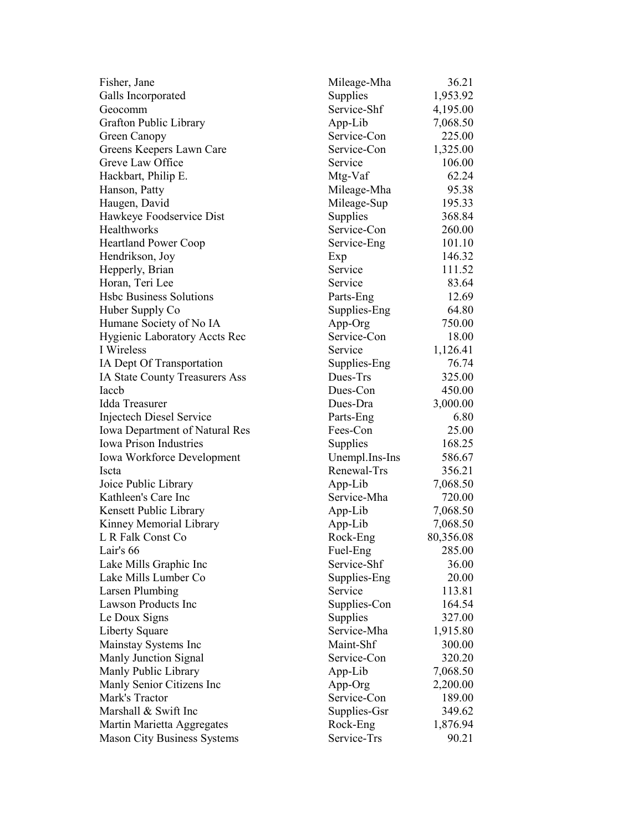| Fisher, Jane                          | Mileage-Mha    | 36.21     |
|---------------------------------------|----------------|-----------|
| Galls Incorporated                    | Supplies       | 1,953.92  |
| Geocomm                               | Service-Shf    | 4,195.00  |
| Grafton Public Library                | App-Lib        | 7,068.50  |
| Green Canopy                          | Service-Con    | 225.00    |
| Greens Keepers Lawn Care              | Service-Con    | 1,325.00  |
| Greve Law Office                      | Service        | 106.00    |
| Hackbart, Philip E.                   | Mtg-Vaf        | 62.24     |
| Hanson, Patty                         | Mileage-Mha    | 95.38     |
| Haugen, David                         | Mileage-Sup    | 195.33    |
| Hawkeye Foodservice Dist              | Supplies       | 368.84    |
| Healthworks                           | Service-Con    | 260.00    |
| <b>Heartland Power Coop</b>           | Service-Eng    | 101.10    |
| Hendrikson, Joy                       | Exp            | 146.32    |
| Hepperly, Brian                       | Service        | 111.52    |
| Horan, Teri Lee                       | Service        | 83.64     |
| <b>Hsbc Business Solutions</b>        | Parts-Eng      | 12.69     |
| Huber Supply Co                       | Supplies-Eng   | 64.80     |
| Humane Society of No IA               | App-Org        | 750.00    |
| <b>Hygienic Laboratory Accts Rec</b>  | Service-Con    | 18.00     |
| I Wireless                            | Service        | 1,126.41  |
| IA Dept Of Transportation             | Supplies-Eng   | 76.74     |
| IA State County Treasurers Ass        | Dues-Trs       | 325.00    |
| Iaccb                                 | Dues-Con       | 450.00    |
| <b>Idda Treasurer</b>                 | Dues-Dra       | 3,000.00  |
| Injectech Diesel Service              | Parts-Eng      | 6.80      |
| <b>Iowa Department of Natural Res</b> | Fees-Con       | 25.00     |
| <b>Iowa Prison Industries</b>         | Supplies       | 168.25    |
| <b>Iowa Workforce Development</b>     | Unempl.Ins-Ins | 586.67    |
| Iscta                                 | Renewal-Trs    | 356.21    |
| Joice Public Library                  | App-Lib        | 7,068.50  |
| Kathleen's Care Inc                   | Service-Mha    | 720.00    |
| Kensett Public Library                | App-Lib        | 7,068.50  |
| Kinney Memorial Library               | App-Lib        | 7,068.50  |
| L R Falk Const Co                     | Rock-Eng       | 80,356.08 |
| Lair's 66                             | Fuel-Eng       | 285.00    |
| Lake Mills Graphic Inc                | Service-Shf    | 36.00     |
| Lake Mills Lumber Co                  | Supplies-Eng   | 20.00     |
| <b>Larsen Plumbing</b>                | Service        | 113.81    |
| Lawson Products Inc                   | Supplies-Con   | 164.54    |
| Le Doux Signs                         | Supplies       | 327.00    |
| Liberty Square                        | Service-Mha    | 1,915.80  |
| Mainstay Systems Inc                  | Maint-Shf      | 300.00    |
| Manly Junction Signal                 | Service-Con    | 320.20    |
| Manly Public Library                  | App-Lib        | 7,068.50  |
| Manly Senior Citizens Inc             | App-Org        | 2,200.00  |
| Mark's Tractor                        | Service-Con    | 189.00    |
| Marshall & Swift Inc                  | Supplies-Gsr   | 349.62    |
| Martin Marietta Aggregates            | Rock-Eng       | 1,876.94  |
| <b>Mason City Business Systems</b>    | Service-Trs    | 90.21     |
|                                       |                |           |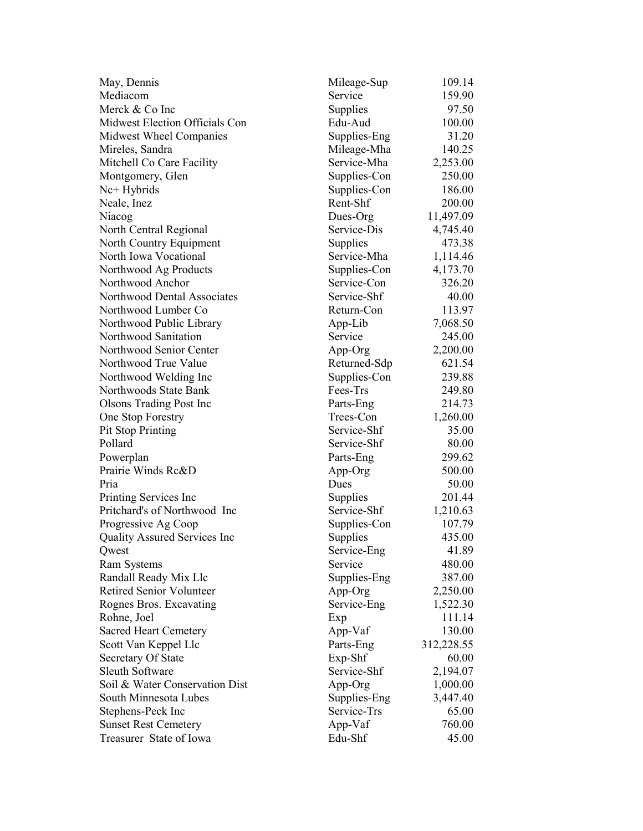| May, Dennis                         | Mileage-Sup            | 109.14     |
|-------------------------------------|------------------------|------------|
| Mediacom                            | Service                | 159.90     |
| Merck & Co Inc                      | Supplies               | 97.50      |
| Midwest Election Officials Con      | Edu-Aud                | 100.00     |
| Midwest Wheel Companies             | Supplies-Eng           | 31.20      |
| Mireles, Sandra                     | Mileage-Mha            | 140.25     |
| Mitchell Co Care Facility           | Service-Mha            | 2,253.00   |
| Montgomery, Glen                    | Supplies-Con           | 250.00     |
| Nc+ Hybrids                         | Supplies-Con           | 186.00     |
| Neale, Inez                         | Rent-Shf               | 200.00     |
| Niacog                              | Dues-Org               | 11,497.09  |
| North Central Regional              | Service-Dis            | 4,745.40   |
| North Country Equipment             | Supplies               | 473.38     |
| North Iowa Vocational               | Service-Mha            | 1,114.46   |
| Northwood Ag Products               | Supplies-Con           | 4,173.70   |
| Northwood Anchor                    | Service-Con            | 326.20     |
| Northwood Dental Associates         | Service-Shf            | 40.00      |
| Northwood Lumber Co                 | Return-Con             | 113.97     |
| Northwood Public Library            | App-Lib                | 7,068.50   |
| Northwood Sanitation                | Service                | 245.00     |
| Northwood Senior Center             | App-Org                | 2,200.00   |
| Northwood True Value                | Returned-Sdp           | 621.54     |
| Northwood Welding Inc               | Supplies-Con           | 239.88     |
| Northwoods State Bank               | Fees-Trs               | 249.80     |
|                                     |                        | 214.73     |
| <b>Olsons Trading Post Inc</b>      | Parts-Eng<br>Trees-Con | 1,260.00   |
| One Stop Forestry                   | Service-Shf            | 35.00      |
| <b>Pit Stop Printing</b><br>Pollard | Service-Shf            |            |
|                                     |                        | 80.00      |
| Powerplan                           | Parts-Eng              | 299.62     |
| Prairie Winds Rc&D                  | App-Org                | 500.00     |
| Pria                                | Dues                   | 50.00      |
| Printing Services Inc               | Supplies               | 201.44     |
| Pritchard's of Northwood Inc        | Service-Shf            | 1,210.63   |
| Progressive Ag Coop                 | Supplies-Con           | 107.79     |
| Quality Assured Services Inc        | Supplies               | 435.00     |
| Qwest                               | Service-Eng            | 41.89      |
| <b>Ram Systems</b>                  | Service                | 480.00     |
| Randall Ready Mix Llc               | Supplies-Eng           | 387.00     |
| <b>Retired Senior Volunteer</b>     | App-Org                | 2,250.00   |
| Rognes Bros. Excavating             | Service-Eng            | 1,522.30   |
| Rohne, Joel                         | Exp                    | 111.14     |
| <b>Sacred Heart Cemetery</b>        | App-Vaf                | 130.00     |
| Scott Van Keppel Llc                | Parts-Eng              | 312,228.55 |
| <b>Secretary Of State</b>           | Exp-Shf                | 60.00      |
| <b>Sleuth Software</b>              | Service-Shf            | 2,194.07   |
| Soil & Water Conservation Dist      | App-Org                | 1,000.00   |
| South Minnesota Lubes               | Supplies-Eng           | 3,447.40   |
| Stephens-Peck Inc                   | Service-Trs            | 65.00      |
| <b>Sunset Rest Cemetery</b>         | App-Vaf                | 760.00     |
| Treasurer State of Iowa             | Edu-Shf                | 45.00      |